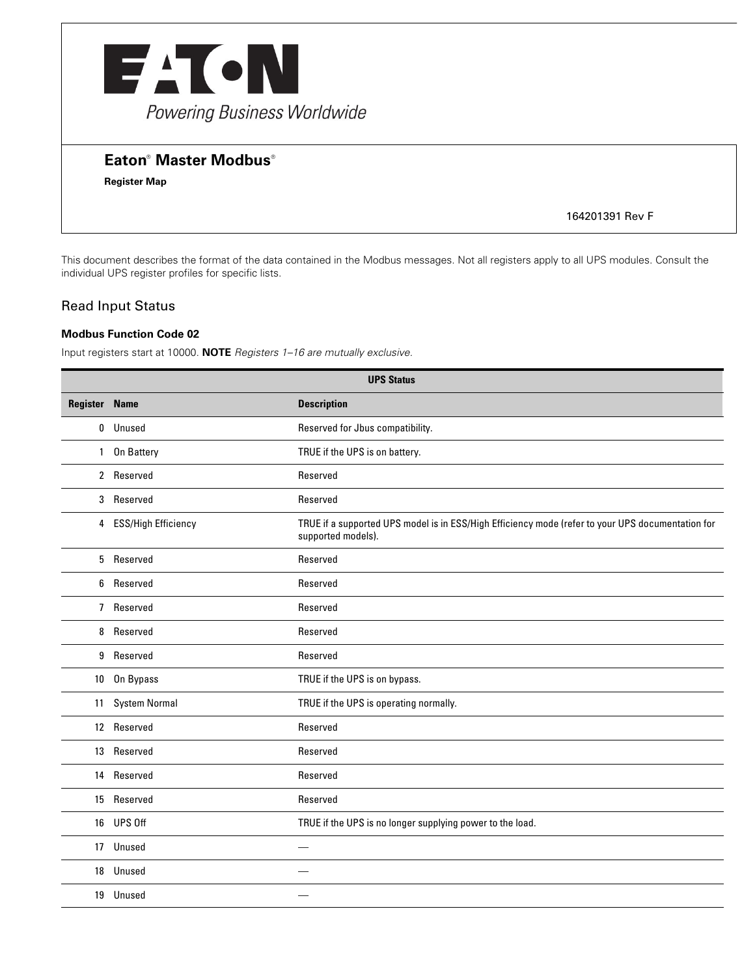

# **Eaton<sup>®</sup> Master Modbus<sup>®</sup>**

**Register Map**

164201391 Rev F

This document describes the format of the data contained in the Modbus messages. Not all registers apply to all UPS modules. Consult the individual UPS register profiles for specific lists.

### Read Input Status

#### **Modbus Function Code 02**

Input registers start at 10000. **NOTE** *Registers 1–16 are mutually exclusive.*

| <b>UPS Status</b>    |                       |                                                                                                                         |
|----------------------|-----------------------|-------------------------------------------------------------------------------------------------------------------------|
| <b>Register Name</b> |                       | <b>Description</b>                                                                                                      |
|                      | 0 Unused              | Reserved for Jbus compatibility.                                                                                        |
|                      | 1 On Battery          | TRUE if the UPS is on battery.                                                                                          |
|                      | 2 Reserved            | Reserved                                                                                                                |
|                      | 3 Reserved            | Reserved                                                                                                                |
|                      | 4 ESS/High Efficiency | TRUE if a supported UPS model is in ESS/High Efficiency mode (refer to your UPS documentation for<br>supported models). |
|                      | 5 Reserved            | Reserved                                                                                                                |
| 6                    | Reserved              | Reserved                                                                                                                |
|                      | 7 Reserved            | Reserved                                                                                                                |
|                      | 8 Reserved            | Reserved                                                                                                                |
|                      | 9 Reserved            | Reserved                                                                                                                |
|                      | 10 On Bypass          | TRUE if the UPS is on bypass.                                                                                           |
|                      | 11 System Normal      | TRUE if the UPS is operating normally.                                                                                  |
|                      | 12 Reserved           | Reserved                                                                                                                |
|                      | 13 Reserved           | Reserved                                                                                                                |
|                      | 14 Reserved           | Reserved                                                                                                                |
|                      | 15 Reserved           | Reserved                                                                                                                |
|                      | 16 UPS Off            | TRUE if the UPS is no longer supplying power to the load.                                                               |
|                      | 17 Unused             |                                                                                                                         |
|                      | 18 Unused             |                                                                                                                         |
|                      | 19 Unused             |                                                                                                                         |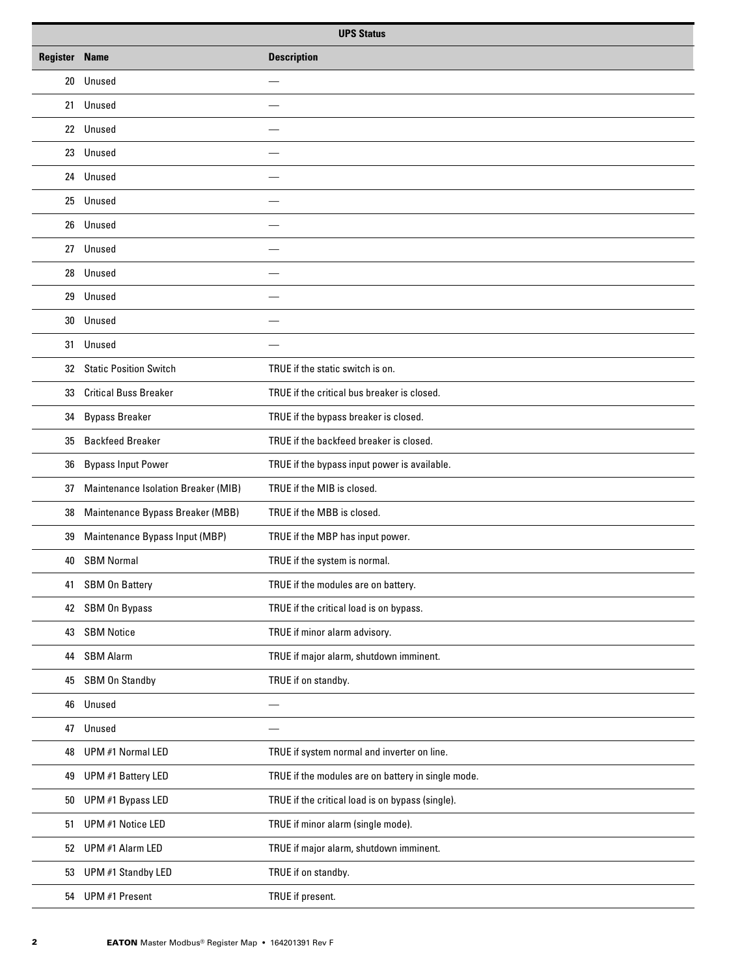| <b>UPS Status</b>    |                                     |                                                    |
|----------------------|-------------------------------------|----------------------------------------------------|
| <b>Register Name</b> |                                     | <b>Description</b>                                 |
|                      | 20 Unused                           |                                                    |
|                      | 21 Unused                           |                                                    |
|                      | 22 Unused                           |                                                    |
| 23                   | Unused                              |                                                    |
|                      | 24 Unused                           |                                                    |
| 25                   | Unused                              |                                                    |
| 26                   | Unused                              |                                                    |
| 27                   | Unused                              |                                                    |
| 28                   | Unused                              |                                                    |
| 29                   | Unused                              |                                                    |
| 30                   | Unused                              |                                                    |
| 31                   | Unused                              |                                                    |
|                      | 32 Static Position Switch           | TRUE if the static switch is on.                   |
| 33                   | <b>Critical Buss Breaker</b>        | TRUE if the critical bus breaker is closed.        |
| 34                   | <b>Bypass Breaker</b>               | TRUE if the bypass breaker is closed.              |
| 35                   | <b>Backfeed Breaker</b>             | TRUE if the backfeed breaker is closed.            |
| 36                   | <b>Bypass Input Power</b>           | TRUE if the bypass input power is available.       |
| 37                   | Maintenance Isolation Breaker (MIB) | TRUE if the MIB is closed.                         |
| 38                   | Maintenance Bypass Breaker (MBB)    | TRUE if the MBB is closed.                         |
| 39                   | Maintenance Bypass Input (MBP)      | TRUE if the MBP has input power.                   |
| 40                   | <b>SBM Normal</b>                   | TRUE if the system is normal.                      |
| 41                   | <b>SBM On Battery</b>               | TRUE if the modules are on battery.                |
|                      | 42 SBM On Bypass                    | TRUE if the critical load is on bypass.            |
| 43                   | <b>SBM Notice</b>                   | TRUE if minor alarm advisory.                      |
| 44                   | <b>SBM Alarm</b>                    | TRUE if major alarm, shutdown imminent.            |
| 45                   | SBM On Standby                      | TRUE if on standby.                                |
| 46                   | Unused                              |                                                    |
| 47                   | Unused                              |                                                    |
| 48                   | UPM #1 Normal LED                   | TRUE if system normal and inverter on line.        |
| 49                   | UPM #1 Battery LED                  | TRUE if the modules are on battery in single mode. |
| 50                   | UPM #1 Bypass LED                   | TRUE if the critical load is on bypass (single).   |
| 51                   | UPM #1 Notice LED                   | TRUE if minor alarm (single mode).                 |
| 52                   | UPM #1 Alarm LED                    | TRUE if major alarm, shutdown imminent.            |
| 53                   | UPM #1 Standby LED                  | TRUE if on standby.                                |
|                      | 54 UPM #1 Present                   | TRUE if present.                                   |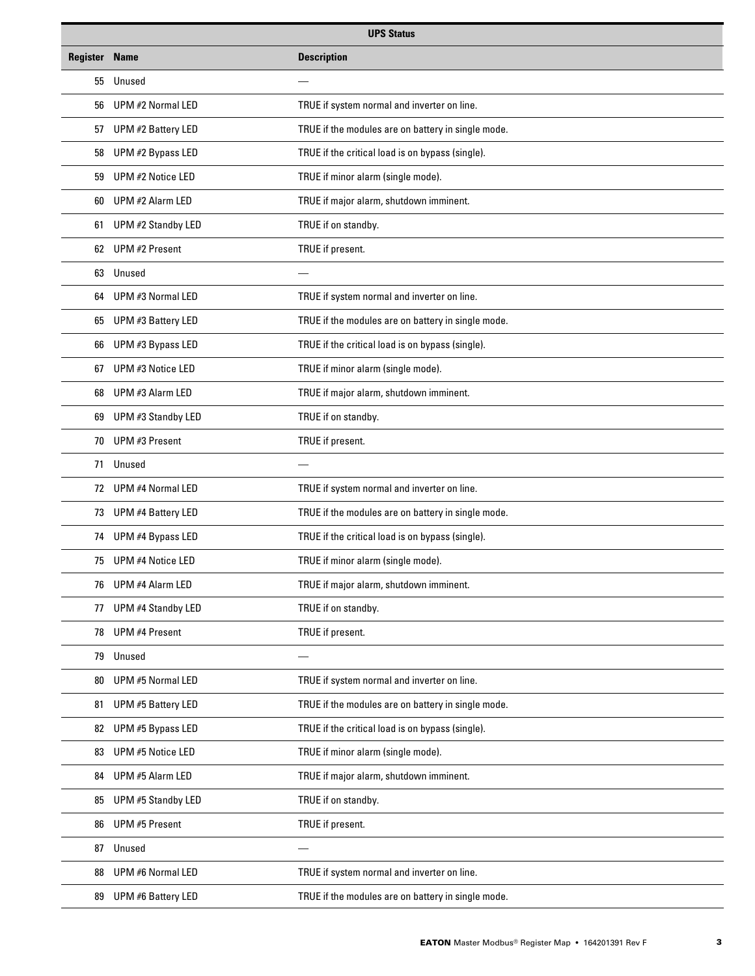| <b>UPS Status</b>    |                           |                                                    |
|----------------------|---------------------------|----------------------------------------------------|
| <b>Register Name</b> |                           | <b>Description</b>                                 |
| 55                   | Unused                    |                                                    |
| 56                   | UPM #2 Normal LED         | TRUE if system normal and inverter on line.        |
| 57                   | UPM #2 Battery LED        | TRUE if the modules are on battery in single mode. |
| 58                   | UPM #2 Bypass LED         | TRUE if the critical load is on bypass (single).   |
| 59                   | UPM #2 Notice LED         | TRUE if minor alarm (single mode).                 |
| 60                   | UPM #2 Alarm LED          | TRUE if major alarm, shutdown imminent.            |
| 61                   | UPM #2 Standby LED        | TRUE if on standby.                                |
| 62                   | UPM #2 Present            | TRUE if present.                                   |
| 63                   | Unused                    |                                                    |
| 64                   | UPM #3 Normal LED         | TRUE if system normal and inverter on line.        |
| 65                   | UPM #3 Battery LED        | TRUE if the modules are on battery in single mode. |
| 66                   | UPM #3 Bypass LED         | TRUE if the critical load is on bypass (single).   |
| 67                   | UPM #3 Notice LED         | TRUE if minor alarm (single mode).                 |
| 68                   | UPM #3 Alarm LED          | TRUE if major alarm, shutdown imminent.            |
| 69                   | UPM #3 Standby LED        | TRUE if on standby.                                |
| 70                   | UPM #3 Present            | TRUE if present.                                   |
| 71                   | Unused                    |                                                    |
|                      | 72 UPM #4 Normal LED      | TRUE if system normal and inverter on line.        |
| 73                   | UPM #4 Battery LED        | TRUE if the modules are on battery in single mode. |
| 74                   | UPM #4 Bypass LED         | TRUE if the critical load is on bypass (single).   |
| 75                   | UPM #4 Notice LED         | TRUE if minor alarm (single mode).                 |
| 76                   | UPM #4 Alarm LED          | TRUE if major alarm, shutdown imminent.            |
| 77                   | <b>UPM #4 Standby LED</b> | TRUE if on standby.                                |
| 78                   | <b>UPM #4 Present</b>     | TRUE if present.                                   |
| 79                   | Unused                    |                                                    |
| 80                   | UPM #5 Normal LED         | TRUE if system normal and inverter on line.        |
| 81                   | UPM #5 Battery LED        | TRUE if the modules are on battery in single mode. |
| 82                   | UPM #5 Bypass LED         | TRUE if the critical load is on bypass (single).   |
| 83                   | UPM #5 Notice LED         | TRUE if minor alarm (single mode).                 |
| 84                   | UPM #5 Alarm LED          | TRUE if major alarm, shutdown imminent.            |
| 85                   | UPM #5 Standby LED        | TRUE if on standby.                                |
| 86                   | UPM #5 Present            | TRUE if present.                                   |
| 87                   | Unused                    | $\overline{\phantom{0}}$                           |
| 88                   | UPM #6 Normal LED         | TRUE if system normal and inverter on line.        |
| 89                   | UPM #6 Battery LED        | TRUE if the modules are on battery in single mode. |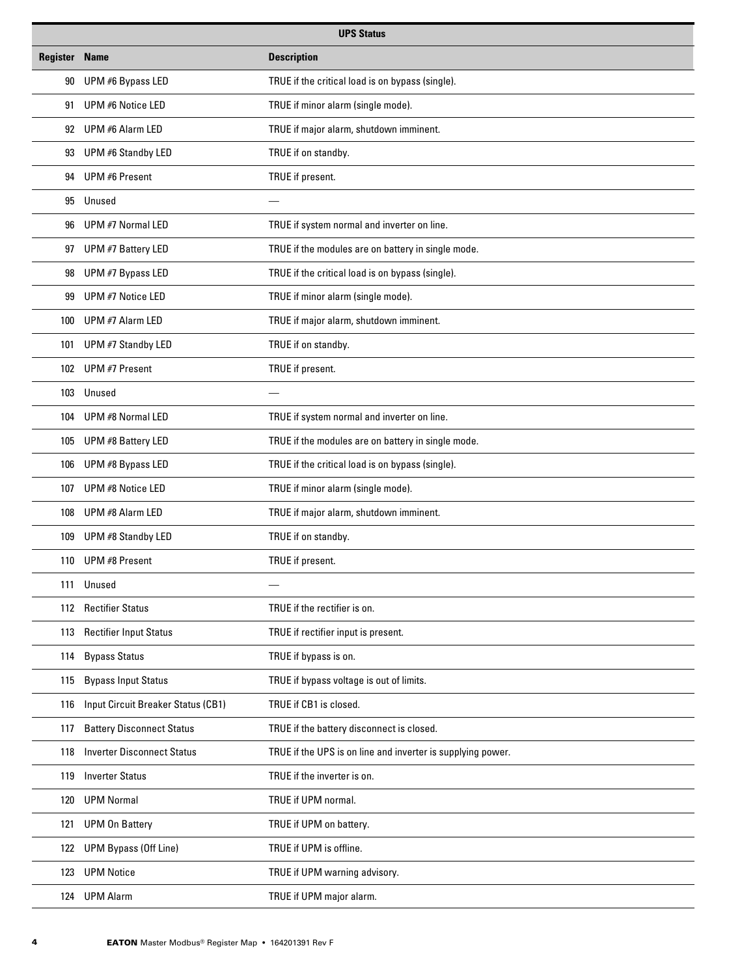| <b>UPS Status</b>    |                                    |                                                             |
|----------------------|------------------------------------|-------------------------------------------------------------|
| <b>Register Name</b> |                                    | <b>Description</b>                                          |
| 90                   | UPM #6 Bypass LED                  | TRUE if the critical load is on bypass (single).            |
| 91                   | UPM #6 Notice LED                  | TRUE if minor alarm (single mode).                          |
| 92                   | UPM #6 Alarm LED                   | TRUE if major alarm, shutdown imminent.                     |
| 93                   | UPM #6 Standby LED                 | TRUE if on standby.                                         |
| 94                   | UPM #6 Present                     | TRUE if present.                                            |
| 95                   | Unused                             |                                                             |
| 96                   | UPM #7 Normal LED                  | TRUE if system normal and inverter on line.                 |
| 97                   | UPM #7 Battery LED                 | TRUE if the modules are on battery in single mode.          |
| 98                   | UPM #7 Bypass LED                  | TRUE if the critical load is on bypass (single).            |
| 99                   | UPM #7 Notice LED                  | TRUE if minor alarm (single mode).                          |
| 100                  | UPM #7 Alarm LED                   | TRUE if major alarm, shutdown imminent.                     |
| 101                  | UPM #7 Standby LED                 | TRUE if on standby.                                         |
|                      | 102 UPM #7 Present                 | TRUE if present.                                            |
| 103                  | Unused                             |                                                             |
| 104                  | UPM #8 Normal LED                  | TRUE if system normal and inverter on line.                 |
| 105                  | UPM #8 Battery LED                 | TRUE if the modules are on battery in single mode.          |
| 106                  | UPM #8 Bypass LED                  | TRUE if the critical load is on bypass (single).            |
| 107                  | UPM #8 Notice LED                  | TRUE if minor alarm (single mode).                          |
| 108                  | UPM #8 Alarm LED                   | TRUE if major alarm, shutdown imminent.                     |
| 109                  | UPM #8 Standby LED                 | TRUE if on standby.                                         |
|                      | 110 UPM #8 Present                 | TRUE if present.                                            |
| 111                  | Unused                             |                                                             |
|                      | 112 Rectifier Status               | TRUE if the rectifier is on.                                |
| 113                  | <b>Rectifier Input Status</b>      | TRUE if rectifier input is present.                         |
| 114                  | <b>Bypass Status</b>               | TRUE if bypass is on.                                       |
| 115                  | <b>Bypass Input Status</b>         | TRUE if bypass voltage is out of limits.                    |
| 116                  | Input Circuit Breaker Status (CB1) | TRUE if CB1 is closed.                                      |
| 117                  | <b>Battery Disconnect Status</b>   | TRUE if the battery disconnect is closed.                   |
| 118                  | <b>Inverter Disconnect Status</b>  | TRUE if the UPS is on line and inverter is supplying power. |
| 119                  | <b>Inverter Status</b>             | TRUE if the inverter is on.                                 |
| 120                  | <b>UPM Normal</b>                  | TRUE if UPM normal.                                         |
| 121                  | <b>UPM On Battery</b>              | TRUE if UPM on battery.                                     |
| 122                  | <b>UPM Bypass (Off Line)</b>       | TRUE if UPM is offline.                                     |
| 123                  | <b>UPM Notice</b>                  | TRUE if UPM warning advisory.                               |
| 124                  | <b>UPM Alarm</b>                   | TRUE if UPM major alarm.                                    |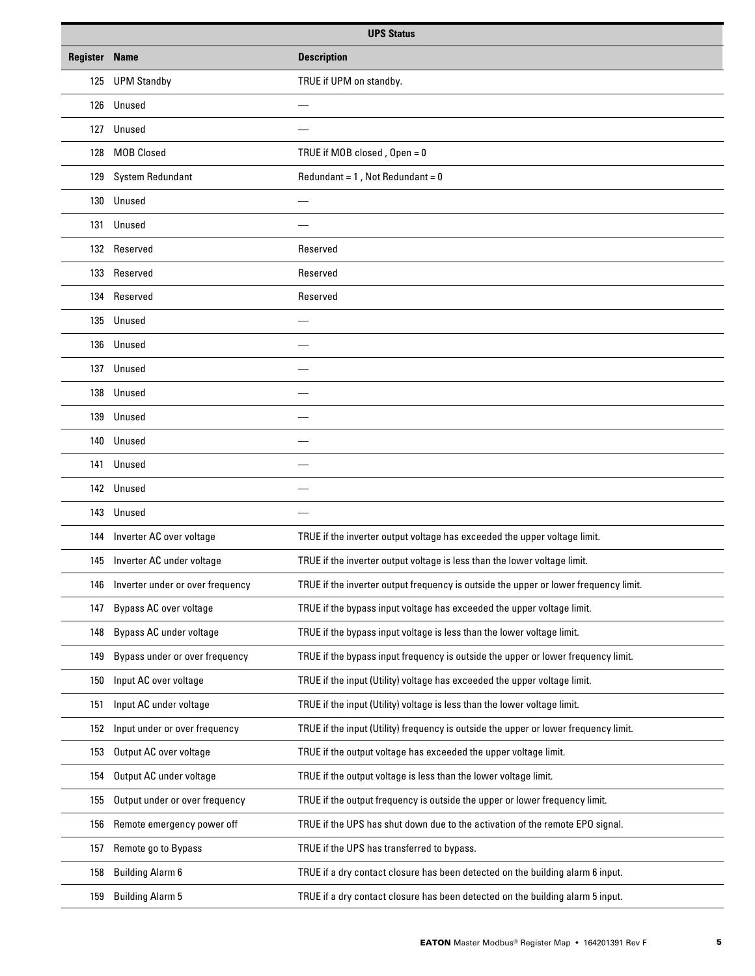| <b>UPS Status</b>    |                                  |                                                                                      |
|----------------------|----------------------------------|--------------------------------------------------------------------------------------|
| <b>Register Name</b> |                                  | <b>Description</b>                                                                   |
| 125                  | <b>UPM Standby</b>               | TRUE if UPM on standby.                                                              |
|                      | 126 Unused                       |                                                                                      |
|                      | 127 Unused                       |                                                                                      |
| 128                  | <b>MOB Closed</b>                | TRUE if MOB closed, Open = 0                                                         |
|                      | 129 System Redundant             | Redundant = $1$ , Not Redundant = $0$                                                |
| 130                  | Unused                           |                                                                                      |
|                      | 131 Unused                       |                                                                                      |
|                      | 132 Reserved                     | Reserved                                                                             |
| 133                  | Reserved                         | Reserved                                                                             |
|                      | 134 Reserved                     | Reserved                                                                             |
|                      | 135 Unused                       |                                                                                      |
| 136                  | Unused                           |                                                                                      |
|                      | 137 Unused                       |                                                                                      |
| 138                  | Unused                           |                                                                                      |
|                      | 139 Unused                       |                                                                                      |
| 140                  | Unused                           |                                                                                      |
| 141                  | Unused                           |                                                                                      |
|                      | 142 Unused                       |                                                                                      |
| 143                  | Unused                           | $\overline{\phantom{0}}$                                                             |
| 144                  | Inverter AC over voltage         | TRUE if the inverter output voltage has exceeded the upper voltage limit.            |
|                      | 145 Inverter AC under voltage    | TRUE if the inverter output voltage is less than the lower voltage limit.            |
| 146                  | Inverter under or over frequency | TRUE if the inverter output frequency is outside the upper or lower frequency limit. |
| 147                  | <b>Bypass AC over voltage</b>    | TRUE if the bypass input voltage has exceeded the upper voltage limit.               |
| 148                  | Bypass AC under voltage          | TRUE if the bypass input voltage is less than the lower voltage limit.               |
| 149                  | Bypass under or over frequency   | TRUE if the bypass input frequency is outside the upper or lower frequency limit.    |
| 150                  | Input AC over voltage            | TRUE if the input (Utility) voltage has exceeded the upper voltage limit.            |
| 151                  | Input AC under voltage           | TRUE if the input (Utility) voltage is less than the lower voltage limit.            |
| 152                  | Input under or over frequency    | TRUE if the input (Utility) frequency is outside the upper or lower frequency limit. |
| 153                  | Output AC over voltage           | TRUE if the output voltage has exceeded the upper voltage limit.                     |
| 154                  | Output AC under voltage          | TRUE if the output voltage is less than the lower voltage limit.                     |
| 155                  | Output under or over frequency   | TRUE if the output frequency is outside the upper or lower frequency limit.          |
| 156                  | Remote emergency power off       | TRUE if the UPS has shut down due to the activation of the remote EPO signal.        |
| 157                  | Remote go to Bypass              | TRUE if the UPS has transferred to bypass.                                           |
| 158                  | <b>Building Alarm 6</b>          | TRUE if a dry contact closure has been detected on the building alarm 6 input.       |
| 159                  | <b>Building Alarm 5</b>          | TRUE if a dry contact closure has been detected on the building alarm 5 input.       |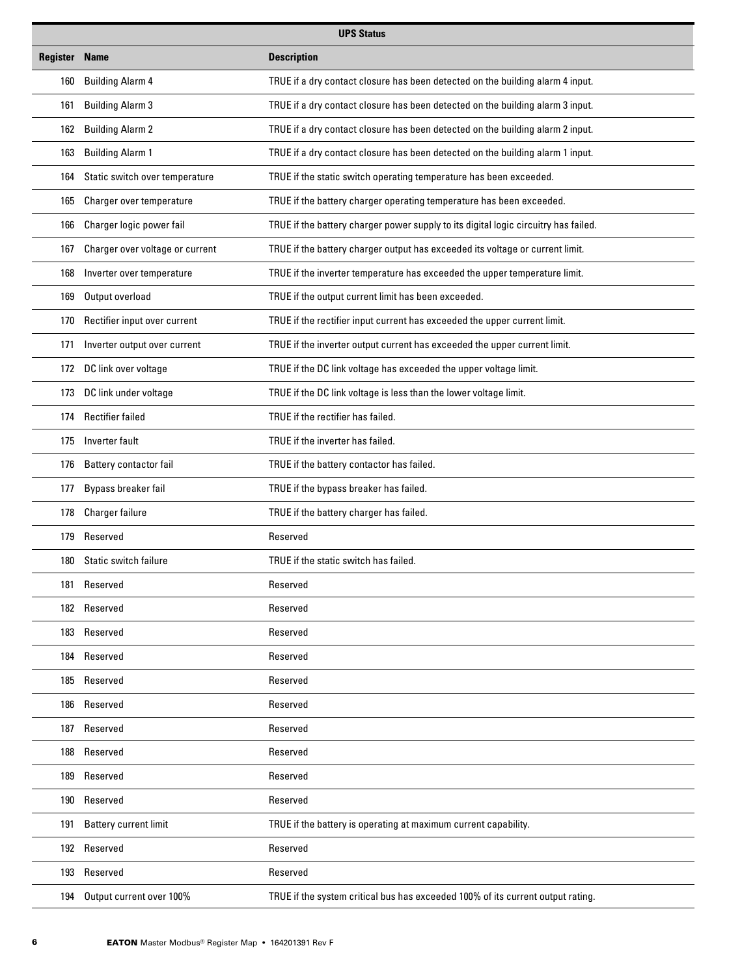| <b>UPS Status</b> |                                 |                                                                                     |
|-------------------|---------------------------------|-------------------------------------------------------------------------------------|
| Register          | <b>Name</b>                     | <b>Description</b>                                                                  |
| 160               | <b>Building Alarm 4</b>         | TRUE if a dry contact closure has been detected on the building alarm 4 input.      |
| 161               | <b>Building Alarm 3</b>         | TRUE if a dry contact closure has been detected on the building alarm 3 input.      |
| 162               | <b>Building Alarm 2</b>         | TRUE if a dry contact closure has been detected on the building alarm 2 input.      |
| 163               | <b>Building Alarm 1</b>         | TRUE if a dry contact closure has been detected on the building alarm 1 input.      |
| 164               | Static switch over temperature  | TRUE if the static switch operating temperature has been exceeded.                  |
| 165               | Charger over temperature        | TRUE if the battery charger operating temperature has been exceeded.                |
| 166               | Charger logic power fail        | TRUE if the battery charger power supply to its digital logic circuitry has failed. |
| 167               | Charger over voltage or current | TRUE if the battery charger output has exceeded its voltage or current limit.       |
| 168               | Inverter over temperature       | TRUE if the inverter temperature has exceeded the upper temperature limit.          |
| 169               | Output overload                 | TRUE if the output current limit has been exceeded.                                 |
| 170               | Rectifier input over current    | TRUE if the rectifier input current has exceeded the upper current limit.           |
| 171               | Inverter output over current    | TRUE if the inverter output current has exceeded the upper current limit.           |
|                   | 172 DC link over voltage        | TRUE if the DC link voltage has exceeded the upper voltage limit.                   |
| 173               | DC link under voltage           | TRUE if the DC link voltage is less than the lower voltage limit.                   |
| 174               | <b>Rectifier failed</b>         | TRUE if the rectifier has failed.                                                   |
| 175               | Inverter fault                  | TRUE if the inverter has failed.                                                    |
| 176               | Battery contactor fail          | TRUE if the battery contactor has failed.                                           |
| 177               | Bypass breaker fail             | TRUE if the bypass breaker has failed.                                              |
| 178               | Charger failure                 | TRUE if the battery charger has failed.                                             |
| 179               | Reserved                        | Reserved                                                                            |
|                   | 180 Static switch failure       | TRUE if the static switch has failed.                                               |
| 181               | Reserved                        | Reserved                                                                            |
|                   | 182 Reserved                    | Reserved                                                                            |
|                   | 183 Reserved                    | Reserved                                                                            |
|                   | 184 Reserved                    | Reserved                                                                            |
|                   | 185 Reserved                    | Reserved                                                                            |
|                   | 186 Reserved                    | Reserved                                                                            |
|                   | 187 Reserved                    | Reserved                                                                            |
| 188               | Reserved                        | Reserved                                                                            |
|                   | 189 Reserved                    | Reserved                                                                            |
|                   | 190 Reserved                    | Reserved                                                                            |
| 191               | <b>Battery current limit</b>    | TRUE if the battery is operating at maximum current capability.                     |
|                   | 192 Reserved                    | Reserved                                                                            |
|                   | 193 Reserved                    | Reserved                                                                            |
| 194               | Output current over 100%        | TRUE if the system critical bus has exceeded 100% of its current output rating.     |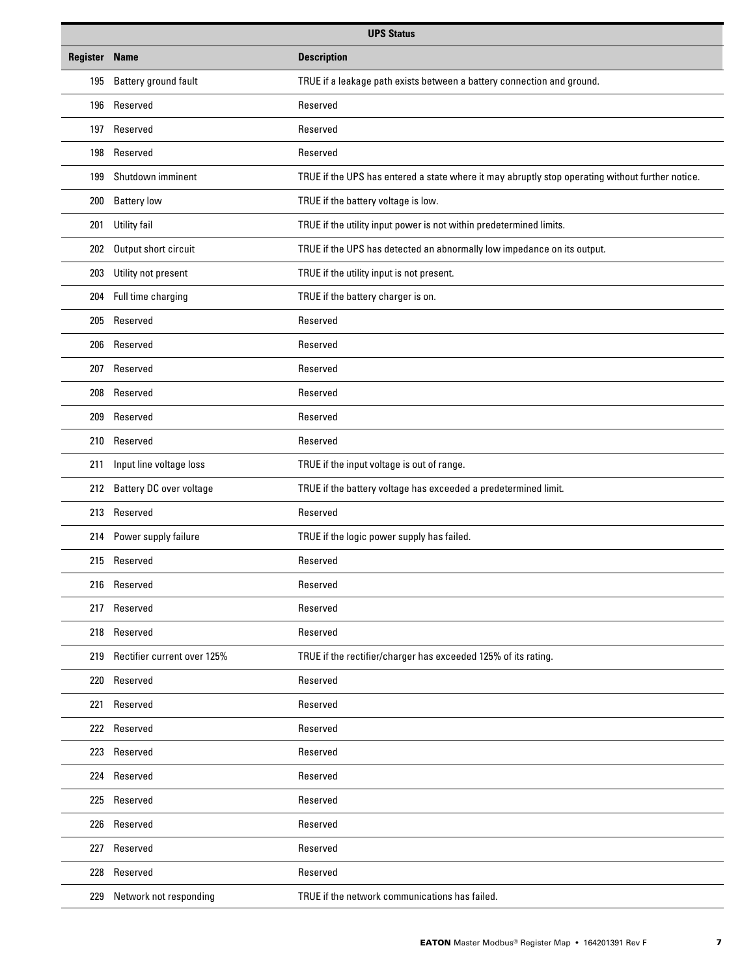| <b>UPS Status</b>    |                                 |                                                                                                  |
|----------------------|---------------------------------|--------------------------------------------------------------------------------------------------|
| <b>Register Name</b> |                                 | <b>Description</b>                                                                               |
| 195                  | Battery ground fault            | TRUE if a leakage path exists between a battery connection and ground.                           |
| 196                  | Reserved                        | Reserved                                                                                         |
| 197                  | Reserved                        | Reserved                                                                                         |
| 198                  | Reserved                        | Reserved                                                                                         |
| 199                  | Shutdown imminent               | TRUE if the UPS has entered a state where it may abruptly stop operating without further notice. |
| 200                  | <b>Battery low</b>              | TRUE if the battery voltage is low.                                                              |
| 201                  | Utility fail                    | TRUE if the utility input power is not within predetermined limits.                              |
| 202                  | Output short circuit            | TRUE if the UPS has detected an abnormally low impedance on its output.                          |
| 203                  | Utility not present             | TRUE if the utility input is not present.                                                        |
| 204                  | Full time charging              | TRUE if the battery charger is on.                                                               |
| 205                  | Reserved                        | Reserved                                                                                         |
| 206                  | Reserved                        | Reserved                                                                                         |
| 207                  | Reserved                        | Reserved                                                                                         |
| 208                  | Reserved                        | Reserved                                                                                         |
| 209                  | Reserved                        | Reserved                                                                                         |
| 210                  | Reserved                        | Reserved                                                                                         |
| 211                  | Input line voltage loss         | TRUE if the input voltage is out of range.                                                       |
| 212                  | <b>Battery DC over voltage</b>  | TRUE if the battery voltage has exceeded a predetermined limit.                                  |
|                      | 213 Reserved                    | Reserved                                                                                         |
| 214                  | Power supply failure            | TRUE if the logic power supply has failed.                                                       |
|                      | 215 Reserved                    | Reserved                                                                                         |
|                      | 216 Reserved                    | Reserved                                                                                         |
| 217                  | Reserved                        | Reserved                                                                                         |
| 218                  | Reserved                        | Reserved                                                                                         |
|                      | 219 Rectifier current over 125% | TRUE if the rectifier/charger has exceeded 125% of its rating.                                   |
| 220                  | Reserved                        | Reserved                                                                                         |
|                      | 221 Reserved                    | Reserved                                                                                         |
|                      | 222 Reserved                    | Reserved                                                                                         |
|                      | 223 Reserved                    | Reserved                                                                                         |
|                      | 224 Reserved                    | Reserved                                                                                         |
| 225                  | Reserved                        | Reserved                                                                                         |
| 226                  | Reserved                        | Reserved                                                                                         |
|                      | 227 Reserved                    | Reserved                                                                                         |
| 228                  | Reserved                        | Reserved                                                                                         |
| 229                  | Network not responding          | TRUE if the network communications has failed.                                                   |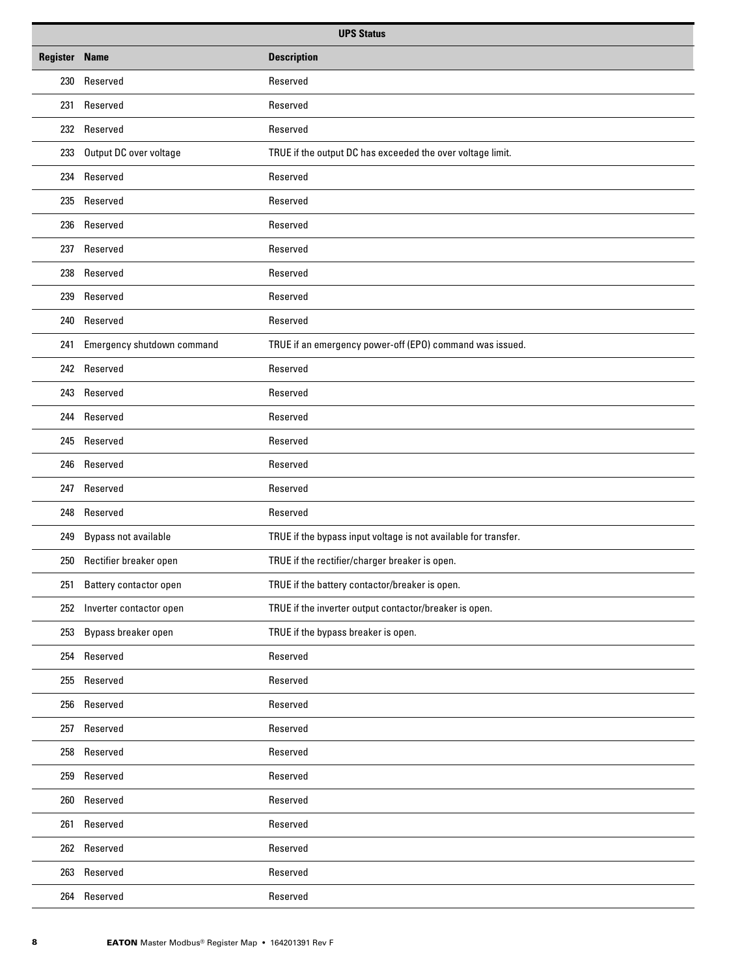| <b>UPS Status</b>    |                            |                                                                 |
|----------------------|----------------------------|-----------------------------------------------------------------|
| <b>Register Name</b> |                            | <b>Description</b>                                              |
|                      | 230 Reserved               | Reserved                                                        |
| 231                  | Reserved                   | Reserved                                                        |
|                      | 232 Reserved               | Reserved                                                        |
| 233                  | Output DC over voltage     | TRUE if the output DC has exceeded the over voltage limit.      |
|                      | 234 Reserved               | Reserved                                                        |
| 235                  | Reserved                   | Reserved                                                        |
|                      | 236 Reserved               | Reserved                                                        |
|                      | 237 Reserved               | Reserved                                                        |
|                      | 238 Reserved               | Reserved                                                        |
|                      | 239 Reserved               | Reserved                                                        |
|                      | 240 Reserved               | Reserved                                                        |
| 241                  | Emergency shutdown command | TRUE if an emergency power-off (EPO) command was issued.        |
|                      | 242 Reserved               | Reserved                                                        |
|                      | 243 Reserved               | Reserved                                                        |
|                      | 244 Reserved               | Reserved                                                        |
|                      | 245 Reserved               | Reserved                                                        |
| 246                  | Reserved                   | Reserved                                                        |
|                      | 247 Reserved               | Reserved                                                        |
|                      | 248 Reserved               | Reserved                                                        |
| 249                  | Bypass not available       | TRUE if the bypass input voltage is not available for transfer. |
|                      | 250 Rectifier breaker open | TRUE if the rectifier/charger breaker is open.                  |
| 251                  | Battery contactor open     | TRUE if the battery contactor/breaker is open.                  |
| 252                  | Inverter contactor open    | TRUE if the inverter output contactor/breaker is open.          |
| 253                  | Bypass breaker open        | TRUE if the bypass breaker is open.                             |
|                      | 254 Reserved               | Reserved                                                        |
|                      | 255 Reserved               | Reserved                                                        |
|                      | 256 Reserved               | Reserved                                                        |
|                      | 257 Reserved               | Reserved                                                        |
|                      | 258 Reserved               | Reserved                                                        |
|                      | 259 Reserved               | Reserved                                                        |
| 260                  | Reserved                   | Reserved                                                        |
| 261                  | Reserved                   | Reserved                                                        |
|                      | 262 Reserved               | Reserved                                                        |
|                      | 263 Reserved               | Reserved                                                        |
|                      | 264 Reserved               | Reserved                                                        |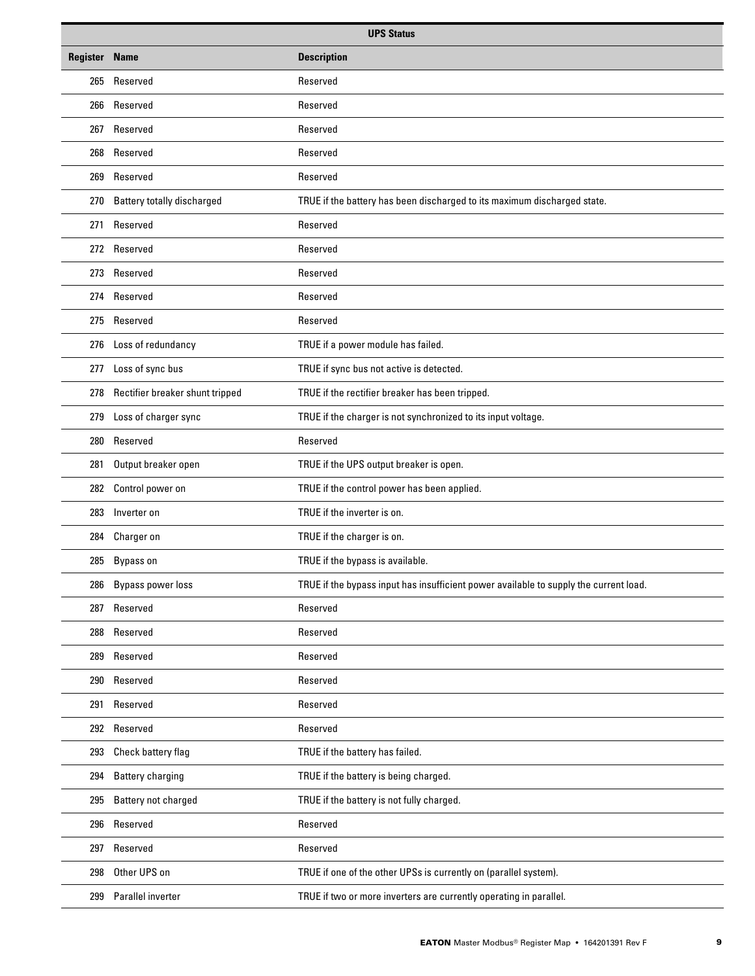| <b>UPS Status</b>    |                                   |                                                                                       |
|----------------------|-----------------------------------|---------------------------------------------------------------------------------------|
| <b>Register Name</b> |                                   | <b>Description</b>                                                                    |
|                      | 265 Reserved                      | Reserved                                                                              |
| 266                  | Reserved                          | Reserved                                                                              |
|                      | 267 Reserved                      | Reserved                                                                              |
| 268                  | Reserved                          | Reserved                                                                              |
| 269                  | Reserved                          | Reserved                                                                              |
| 270                  | <b>Battery totally discharged</b> | TRUE if the battery has been discharged to its maximum discharged state.              |
| 271                  | Reserved                          | Reserved                                                                              |
|                      | 272 Reserved                      | Reserved                                                                              |
|                      | 273 Reserved                      | Reserved                                                                              |
|                      | 274 Reserved                      | Reserved                                                                              |
|                      | 275 Reserved                      | Reserved                                                                              |
| 276                  | Loss of redundancy                | TRUE if a power module has failed.                                                    |
| 277                  | Loss of sync bus                  | TRUE if sync bus not active is detected.                                              |
| 278                  | Rectifier breaker shunt tripped   | TRUE if the rectifier breaker has been tripped.                                       |
| 279                  | Loss of charger sync              | TRUE if the charger is not synchronized to its input voltage.                         |
| 280                  | Reserved                          | Reserved                                                                              |
| 281                  | Output breaker open               | TRUE if the UPS output breaker is open.                                               |
| 282                  | Control power on                  | TRUE if the control power has been applied.                                           |
| 283                  | Inverter on                       | TRUE if the inverter is on.                                                           |
| 284                  | Charger on                        | TRUE if the charger is on.                                                            |
|                      | 285 Bypass on                     | TRUE if the bypass is available.                                                      |
| 286                  | <b>Bypass power loss</b>          | TRUE if the bypass input has insufficient power available to supply the current load. |
| 287                  | Reserved                          | Reserved                                                                              |
| 288                  | Reserved                          | Reserved                                                                              |
| 289                  | Reserved                          | Reserved                                                                              |
| 290                  | Reserved                          | Reserved                                                                              |
| 291                  | Reserved                          | Reserved                                                                              |
|                      | 292 Reserved                      | Reserved                                                                              |
| 293                  | Check battery flag                | TRUE if the battery has failed.                                                       |
| 294                  | <b>Battery charging</b>           | TRUE if the battery is being charged.                                                 |
| 295                  | Battery not charged               | TRUE if the battery is not fully charged.                                             |
| 296                  | Reserved                          | Reserved                                                                              |
| 297                  | Reserved                          | Reserved                                                                              |
| 298                  | Other UPS on                      | TRUE if one of the other UPSs is currently on (parallel system).                      |
| 299                  | Parallel inverter                 | TRUE if two or more inverters are currently operating in parallel.                    |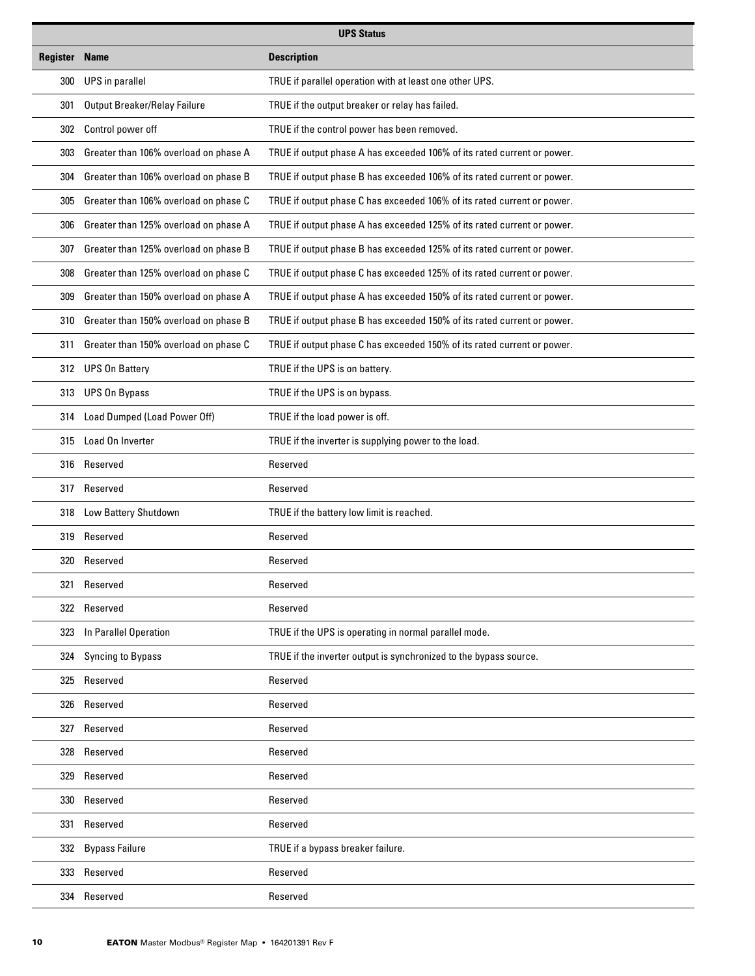|                      | <b>UPS Status</b>                     |                                                                         |  |
|----------------------|---------------------------------------|-------------------------------------------------------------------------|--|
| <b>Register Name</b> |                                       | <b>Description</b>                                                      |  |
| 300                  | <b>UPS</b> in parallel                | TRUE if parallel operation with at least one other UPS.                 |  |
| 301                  | Output Breaker/Relay Failure          | TRUE if the output breaker or relay has failed.                         |  |
| 302                  | Control power off                     | TRUE if the control power has been removed.                             |  |
| 303                  | Greater than 106% overload on phase A | TRUE if output phase A has exceeded 106% of its rated current or power. |  |
| 304                  | Greater than 106% overload on phase B | TRUE if output phase B has exceeded 106% of its rated current or power. |  |
| 305                  | Greater than 106% overload on phase C | TRUE if output phase C has exceeded 106% of its rated current or power. |  |
| 306                  | Greater than 125% overload on phase A | TRUE if output phase A has exceeded 125% of its rated current or power. |  |
| 307                  | Greater than 125% overload on phase B | TRUE if output phase B has exceeded 125% of its rated current or power. |  |
| 308                  | Greater than 125% overload on phase C | TRUE if output phase C has exceeded 125% of its rated current or power. |  |
| 309                  | Greater than 150% overload on phase A | TRUE if output phase A has exceeded 150% of its rated current or power. |  |
| 310                  | Greater than 150% overload on phase B | TRUE if output phase B has exceeded 150% of its rated current or power. |  |
| 311                  | Greater than 150% overload on phase C | TRUE if output phase C has exceeded 150% of its rated current or power. |  |
|                      | 312 UPS On Battery                    | TRUE if the UPS is on battery.                                          |  |
| 313                  | <b>UPS On Bypass</b>                  | TRUE if the UPS is on bypass.                                           |  |
| 314                  | Load Dumped (Load Power Off)          | TRUE if the load power is off.                                          |  |
| 315                  | Load On Inverter                      | TRUE if the inverter is supplying power to the load.                    |  |
|                      | 316 Reserved                          | Reserved                                                                |  |
| 317                  | Reserved                              | Reserved                                                                |  |
| 318                  | Low Battery Shutdown                  | TRUE if the battery low limit is reached.                               |  |
|                      | 319 Reserved                          | Reserved                                                                |  |
|                      | 320 Reserved                          | Reserved                                                                |  |
|                      | 321 Reserved                          | Reserved                                                                |  |
|                      | 322 Reserved                          | Reserved                                                                |  |
| 323                  | In Parallel Operation                 | TRUE if the UPS is operating in normal parallel mode.                   |  |
| 324                  | Syncing to Bypass                     | TRUE if the inverter output is synchronized to the bypass source.       |  |
| 325                  | Reserved                              | Reserved                                                                |  |
|                      | 326 Reserved                          | Reserved                                                                |  |
|                      | 327 Reserved                          | Reserved                                                                |  |
|                      | 328 Reserved                          | Reserved                                                                |  |
|                      | 329 Reserved                          | Reserved                                                                |  |
|                      | 330 Reserved                          | Reserved                                                                |  |
|                      | 331 Reserved                          | Reserved                                                                |  |
|                      | 332 Bypass Failure                    | TRUE if a bypass breaker failure.                                       |  |
| 333                  | Reserved                              | Reserved                                                                |  |
|                      | 334 Reserved                          | Reserved                                                                |  |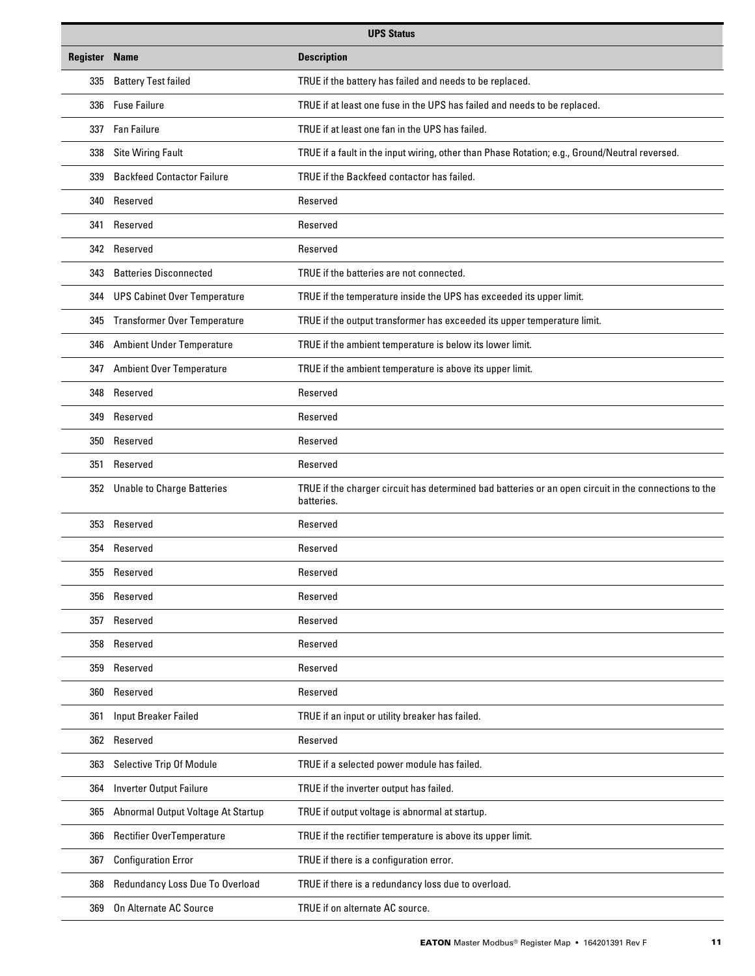| <b>UPS Status</b>    |                                     |                                                                                                                     |
|----------------------|-------------------------------------|---------------------------------------------------------------------------------------------------------------------|
| <b>Register Name</b> |                                     | <b>Description</b>                                                                                                  |
| 335                  | <b>Battery Test failed</b>          | TRUE if the battery has failed and needs to be replaced.                                                            |
| 336                  | <b>Fuse Failure</b>                 | TRUE if at least one fuse in the UPS has failed and needs to be replaced.                                           |
|                      | 337 Fan Failure                     | TRUE if at least one fan in the UPS has failed.                                                                     |
| 338                  | <b>Site Wiring Fault</b>            | TRUE if a fault in the input wiring, other than Phase Rotation; e.g., Ground/Neutral reversed.                      |
| 339                  | <b>Backfeed Contactor Failure</b>   | TRUE if the Backfeed contactor has failed.                                                                          |
| 340                  | Reserved                            | Reserved                                                                                                            |
|                      | 341 Reserved                        | Reserved                                                                                                            |
|                      | 342 Reserved                        | Reserved                                                                                                            |
| 343                  | <b>Batteries Disconnected</b>       | TRUE if the batteries are not connected.                                                                            |
|                      | 344 UPS Cabinet Over Temperature    | TRUE if the temperature inside the UPS has exceeded its upper limit.                                                |
| 345                  | <b>Transformer Over Temperature</b> | TRUE if the output transformer has exceeded its upper temperature limit.                                            |
| 346                  | <b>Ambient Under Temperature</b>    | TRUE if the ambient temperature is below its lower limit.                                                           |
| 347                  | <b>Ambient Over Temperature</b>     | TRUE if the ambient temperature is above its upper limit.                                                           |
| 348                  | Reserved                            | Reserved                                                                                                            |
| 349                  | Reserved                            | Reserved                                                                                                            |
| 350                  | Reserved                            | Reserved                                                                                                            |
| 351                  | Reserved                            | Reserved                                                                                                            |
|                      | 352 Unable to Charge Batteries      | TRUE if the charger circuit has determined bad batteries or an open circuit in the connections to the<br>batteries. |
| 353                  | Reserved                            | Reserved                                                                                                            |
|                      | 354 Reserved                        | Reserved                                                                                                            |
|                      | 355 Reserved                        | Reserved                                                                                                            |
| 356                  | Reserved                            | Reserved                                                                                                            |
| 357                  | Reserved                            | Reserved                                                                                                            |
| 358                  | Reserved                            | Reserved                                                                                                            |
| 359                  | Reserved                            | Reserved                                                                                                            |
| 360                  | Reserved                            | Reserved                                                                                                            |
| 361                  | <b>Input Breaker Failed</b>         | TRUE if an input or utility breaker has failed.                                                                     |
|                      | 362 Reserved                        | Reserved                                                                                                            |
| 363                  | Selective Trip Of Module            | TRUE if a selected power module has failed.                                                                         |
| 364                  | <b>Inverter Output Failure</b>      | TRUE if the inverter output has failed.                                                                             |
| 365                  | Abnormal Output Voltage At Startup  | TRUE if output voltage is abnormal at startup.                                                                      |
| 366                  | Rectifier OverTemperature           | TRUE if the rectifier temperature is above its upper limit.                                                         |
| 367                  | <b>Configuration Error</b>          | TRUE if there is a configuration error.                                                                             |
| 368                  | Redundancy Loss Due To Overload     | TRUE if there is a redundancy loss due to overload.                                                                 |
| 369                  | On Alternate AC Source              | TRUE if on alternate AC source.                                                                                     |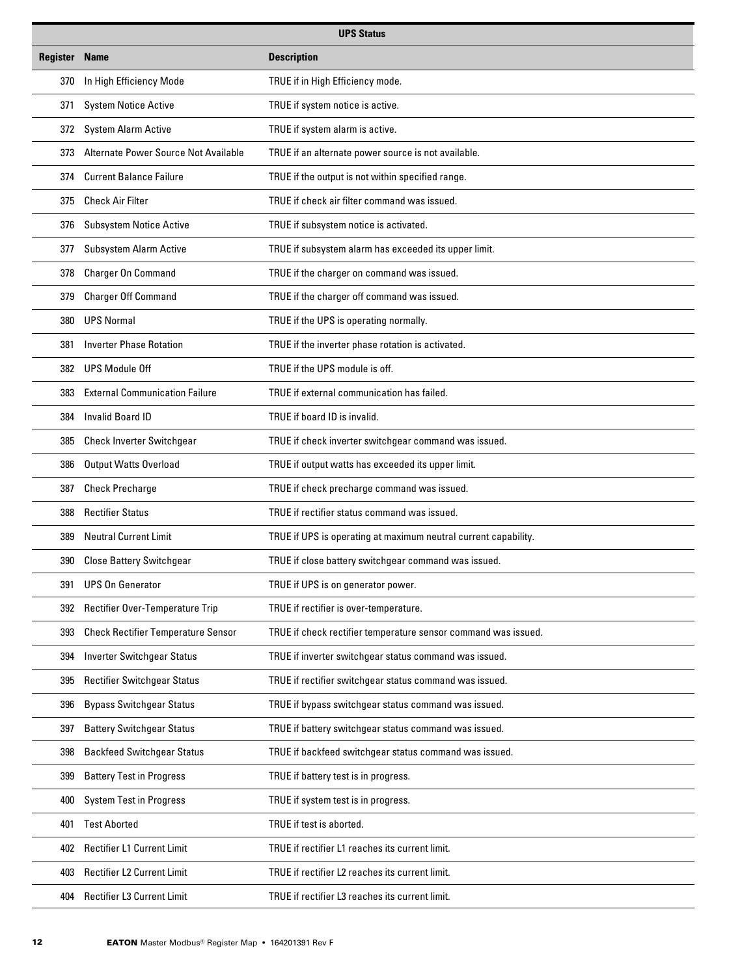| <b>UPS Status</b>    |                                           |                                                                 |
|----------------------|-------------------------------------------|-----------------------------------------------------------------|
| <b>Register Name</b> |                                           | <b>Description</b>                                              |
| 370                  | In High Efficiency Mode                   | TRUE if in High Efficiency mode.                                |
| 371                  | <b>System Notice Active</b>               | TRUE if system notice is active.                                |
| 372                  | <b>System Alarm Active</b>                | TRUE if system alarm is active.                                 |
| 373                  | Alternate Power Source Not Available      | TRUE if an alternate power source is not available.             |
| 374                  | <b>Current Balance Failure</b>            | TRUE if the output is not within specified range.               |
| 375                  | <b>Check Air Filter</b>                   | TRUE if check air filter command was issued.                    |
| 376                  | <b>Subsystem Notice Active</b>            | TRUE if subsystem notice is activated.                          |
| 377                  | <b>Subsystem Alarm Active</b>             | TRUE if subsystem alarm has exceeded its upper limit.           |
| 378                  | <b>Charger On Command</b>                 | TRUE if the charger on command was issued.                      |
| 379                  | <b>Charger Off Command</b>                | TRUE if the charger off command was issued.                     |
| 380                  | <b>UPS Normal</b>                         | TRUE if the UPS is operating normally.                          |
| 381                  | <b>Inverter Phase Rotation</b>            | TRUE if the inverter phase rotation is activated.               |
| 382                  | <b>UPS Module Off</b>                     | TRUE if the UPS module is off.                                  |
| 383                  | <b>External Communication Failure</b>     | TRUE if external communication has failed.                      |
| 384                  | <b>Invalid Board ID</b>                   | TRUE if board ID is invalid.                                    |
| 385                  | <b>Check Inverter Switchgear</b>          | TRUE if check inverter switchgear command was issued.           |
| 386                  | <b>Output Watts Overload</b>              | TRUE if output watts has exceeded its upper limit.              |
| 387                  | <b>Check Precharge</b>                    | TRUE if check precharge command was issued.                     |
| 388                  | <b>Rectifier Status</b>                   | TRUE if rectifier status command was issued.                    |
| 389                  | <b>Neutral Current Limit</b>              | TRUE if UPS is operating at maximum neutral current capability. |
| 390                  | <b>Close Battery Switchgear</b>           | TRUE if close battery switchgear command was issued.            |
| 391                  | <b>UPS On Generator</b>                   | TRUE if UPS is on generator power.                              |
| 392                  | Rectifier Over-Temperature Trip           | TRUE if rectifier is over-temperature.                          |
| 393                  | <b>Check Rectifier Temperature Sensor</b> | TRUE if check rectifier temperature sensor command was issued.  |
| 394                  | <b>Inverter Switchgear Status</b>         | TRUE if inverter switchgear status command was issued.          |
| 395                  | <b>Rectifier Switchgear Status</b>        | TRUE if rectifier switchgear status command was issued.         |
| 396                  | <b>Bypass Switchgear Status</b>           | TRUE if bypass switchgear status command was issued.            |
| 397                  | <b>Battery Switchgear Status</b>          | TRUE if battery switchgear status command was issued.           |
| 398                  | <b>Backfeed Switchgear Status</b>         | TRUE if backfeed switchgear status command was issued.          |
| 399                  | <b>Battery Test in Progress</b>           | TRUE if battery test is in progress.                            |
| 400                  | <b>System Test in Progress</b>            | TRUE if system test is in progress.                             |
| 401                  | <b>Test Aborted</b>                       | TRUE if test is aborted.                                        |
| 402                  | Rectifier L1 Current Limit                | TRUE if rectifier L1 reaches its current limit.                 |
| 403                  | Rectifier L2 Current Limit                | TRUE if rectifier L2 reaches its current limit.                 |
| 404                  | <b>Rectifier L3 Current Limit</b>         | TRUE if rectifier L3 reaches its current limit.                 |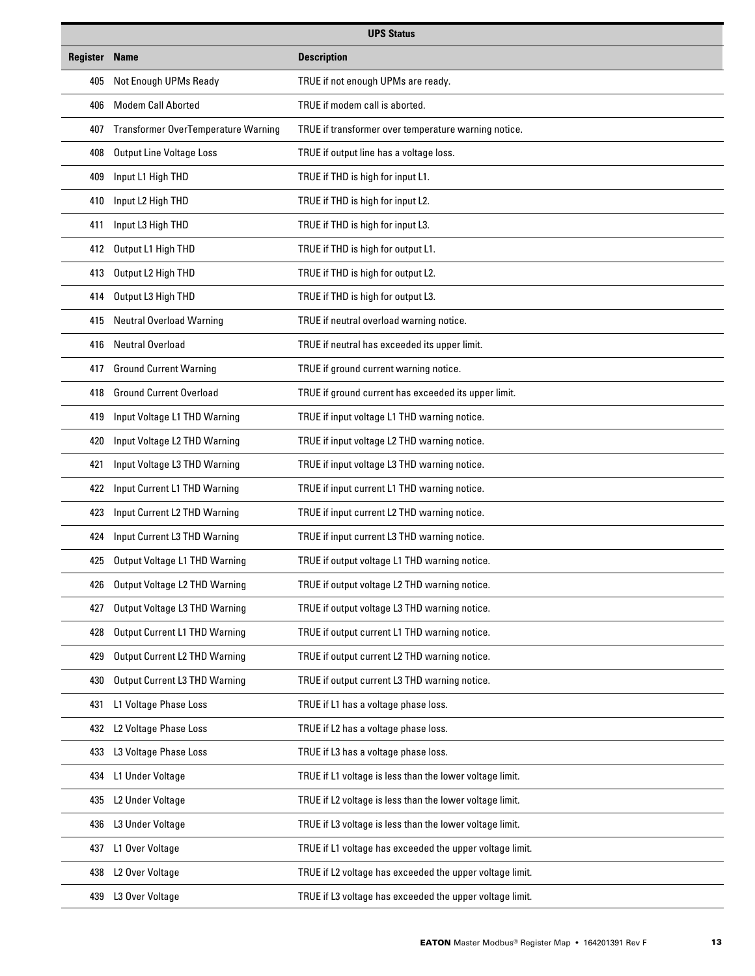| <b>UPS Status</b>    |                                            |                                                          |  |  |  |
|----------------------|--------------------------------------------|----------------------------------------------------------|--|--|--|
| <b>Register Name</b> |                                            | <b>Description</b>                                       |  |  |  |
| 405                  | Not Enough UPMs Ready                      | TRUE if not enough UPMs are ready.                       |  |  |  |
| 406                  | <b>Modem Call Aborted</b>                  | TRUE if modem call is aborted.                           |  |  |  |
| 407                  | <b>Transformer OverTemperature Warning</b> | TRUE if transformer over temperature warning notice.     |  |  |  |
| 408                  | <b>Output Line Voltage Loss</b>            | TRUE if output line has a voltage loss.                  |  |  |  |
| 409                  | Input L1 High THD                          | TRUE if THD is high for input L1.                        |  |  |  |
| 410                  | Input L2 High THD                          | TRUE if THD is high for input L2.                        |  |  |  |
| 411                  | Input L3 High THD                          | TRUE if THD is high for input L3.                        |  |  |  |
| 412                  | Output L1 High THD                         | TRUE if THD is high for output L1.                       |  |  |  |
| 413                  | Output L2 High THD                         | TRUE if THD is high for output L2.                       |  |  |  |
| 414                  | Output L3 High THD                         | TRUE if THD is high for output L3.                       |  |  |  |
| 415                  | <b>Neutral Overload Warning</b>            | TRUE if neutral overload warning notice.                 |  |  |  |
| 416                  | <b>Neutral Overload</b>                    | TRUE if neutral has exceeded its upper limit.            |  |  |  |
| 417                  | <b>Ground Current Warning</b>              | TRUE if ground current warning notice.                   |  |  |  |
| 418                  | <b>Ground Current Overload</b>             | TRUE if ground current has exceeded its upper limit.     |  |  |  |
| 419                  | Input Voltage L1 THD Warning               | TRUE if input voltage L1 THD warning notice.             |  |  |  |
| 420                  | Input Voltage L2 THD Warning               | TRUE if input voltage L2 THD warning notice.             |  |  |  |
| 421                  | Input Voltage L3 THD Warning               | TRUE if input voltage L3 THD warning notice.             |  |  |  |
| 422                  | Input Current L1 THD Warning               | TRUE if input current L1 THD warning notice.             |  |  |  |
| 423                  | Input Current L2 THD Warning               | TRUE if input current L2 THD warning notice.             |  |  |  |
| 424                  | Input Current L3 THD Warning               | TRUE if input current L3 THD warning notice.             |  |  |  |
| 425                  | Output Voltage L1 THD Warning              | TRUE if output voltage L1 THD warning notice.            |  |  |  |
| 426                  | Output Voltage L2 THD Warning              | TRUE if output voltage L2 THD warning notice.            |  |  |  |
| 427                  | Output Voltage L3 THD Warning              | TRUE if output voltage L3 THD warning notice.            |  |  |  |
| 428                  | <b>Output Current L1 THD Warning</b>       | TRUE if output current L1 THD warning notice.            |  |  |  |
| 429                  | <b>Output Current L2 THD Warning</b>       | TRUE if output current L2 THD warning notice.            |  |  |  |
| 430                  | Output Current L3 THD Warning              | TRUE if output current L3 THD warning notice.            |  |  |  |
| 431                  | L1 Voltage Phase Loss                      | TRUE if L1 has a voltage phase loss.                     |  |  |  |
| 432                  | L2 Voltage Phase Loss                      | TRUE if L2 has a voltage phase loss.                     |  |  |  |
| 433                  | L3 Voltage Phase Loss                      | TRUE if L3 has a voltage phase loss.                     |  |  |  |
| 434                  | L1 Under Voltage                           | TRUE if L1 voltage is less than the lower voltage limit. |  |  |  |
| 435                  | L2 Under Voltage                           | TRUE if L2 voltage is less than the lower voltage limit. |  |  |  |
| 436                  | L3 Under Voltage                           | TRUE if L3 voltage is less than the lower voltage limit. |  |  |  |
| 437                  | L1 Over Voltage                            | TRUE if L1 voltage has exceeded the upper voltage limit. |  |  |  |
| 438                  | L2 Over Voltage                            | TRUE if L2 voltage has exceeded the upper voltage limit. |  |  |  |
| 439                  | L3 Over Voltage                            | TRUE if L3 voltage has exceeded the upper voltage limit. |  |  |  |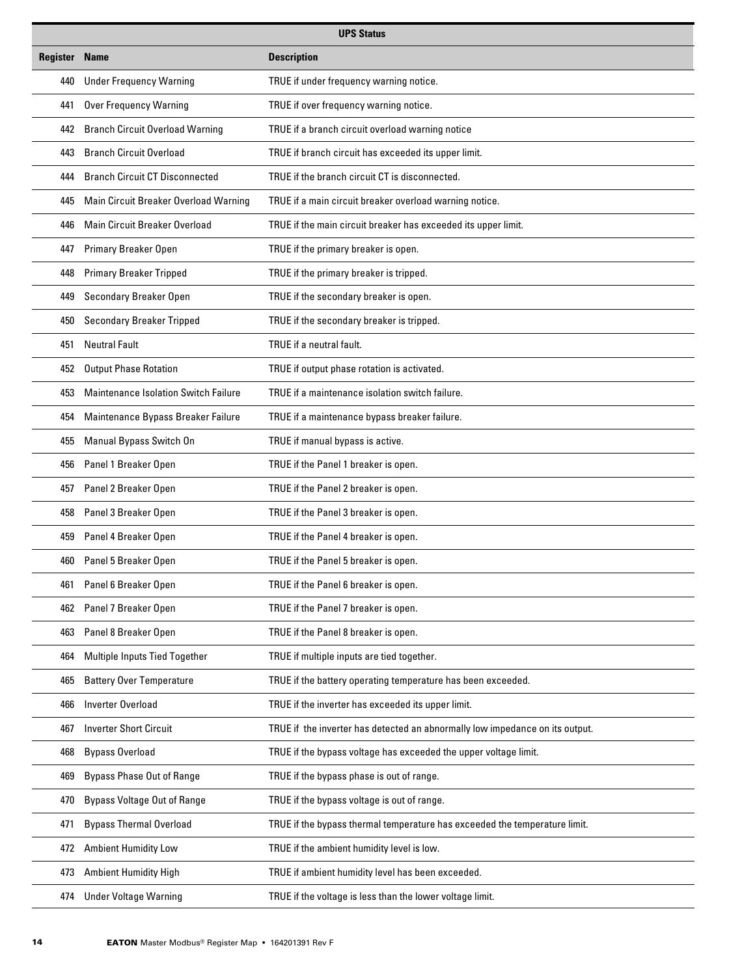| <b>UPS Status</b>    |                                        |                                                                              |  |  |  |
|----------------------|----------------------------------------|------------------------------------------------------------------------------|--|--|--|
| <b>Register Name</b> | <b>Description</b>                     |                                                                              |  |  |  |
| 440                  | <b>Under Frequency Warning</b>         | TRUE if under frequency warning notice.                                      |  |  |  |
| 441                  | <b>Over Frequency Warning</b>          | TRUE if over frequency warning notice.                                       |  |  |  |
| 442                  | <b>Branch Circuit Overload Warning</b> | TRUE if a branch circuit overload warning notice                             |  |  |  |
| 443                  | <b>Branch Circuit Overload</b>         | TRUE if branch circuit has exceeded its upper limit.                         |  |  |  |
| 444                  | <b>Branch Circuit CT Disconnected</b>  | TRUE if the branch circuit CT is disconnected.                               |  |  |  |
| 445                  | Main Circuit Breaker Overload Warning  | TRUE if a main circuit breaker overload warning notice.                      |  |  |  |
| 446                  | Main Circuit Breaker Overload          | TRUE if the main circuit breaker has exceeded its upper limit.               |  |  |  |
| 447                  | Primary Breaker Open                   | TRUE if the primary breaker is open.                                         |  |  |  |
| 448                  | <b>Primary Breaker Tripped</b>         | TRUE if the primary breaker is tripped.                                      |  |  |  |
| 449                  | Secondary Breaker Open                 | TRUE if the secondary breaker is open.                                       |  |  |  |
| 450                  | <b>Secondary Breaker Tripped</b>       | TRUE if the secondary breaker is tripped.                                    |  |  |  |
| 451                  | <b>Neutral Fault</b>                   | TRUE if a neutral fault.                                                     |  |  |  |
| 452                  | <b>Output Phase Rotation</b>           | TRUE if output phase rotation is activated.                                  |  |  |  |
| 453                  | Maintenance Isolation Switch Failure   | TRUE if a maintenance isolation switch failure.                              |  |  |  |
| 454                  | Maintenance Bypass Breaker Failure     | TRUE if a maintenance bypass breaker failure.                                |  |  |  |
| 455                  | Manual Bypass Switch On                | TRUE if manual bypass is active.                                             |  |  |  |
| 456                  | Panel 1 Breaker Open                   | TRUE if the Panel 1 breaker is open.                                         |  |  |  |
| 457                  | Panel 2 Breaker Open                   | TRUE if the Panel 2 breaker is open.                                         |  |  |  |
| 458                  | Panel 3 Breaker Open                   | TRUE if the Panel 3 breaker is open.                                         |  |  |  |
| 459                  | Panel 4 Breaker Open                   | TRUE if the Panel 4 breaker is open.                                         |  |  |  |
| 460                  | Panel 5 Breaker Open                   | TRUE if the Panel 5 breaker is open.                                         |  |  |  |
| 461                  | Panel 6 Breaker Open                   | TRUE if the Panel 6 breaker is open.                                         |  |  |  |
| 462                  | Panel 7 Breaker Open                   | TRUE if the Panel 7 breaker is open.                                         |  |  |  |
| 463                  | Panel 8 Breaker Open                   | TRUE if the Panel 8 breaker is open.                                         |  |  |  |
| 464                  | Multiple Inputs Tied Together          | TRUE if multiple inputs are tied together.                                   |  |  |  |
| 465                  | <b>Battery Over Temperature</b>        | TRUE if the battery operating temperature has been exceeded.                 |  |  |  |
| 466                  | Inverter Overload                      | TRUE if the inverter has exceeded its upper limit.                           |  |  |  |
| 467                  | <b>Inverter Short Circuit</b>          | TRUE if the inverter has detected an abnormally low impedance on its output. |  |  |  |
| 468                  | <b>Bypass Overload</b>                 | TRUE if the bypass voltage has exceeded the upper voltage limit.             |  |  |  |
| 469                  | <b>Bypass Phase Out of Range</b>       | TRUE if the bypass phase is out of range.                                    |  |  |  |
| 470                  | <b>Bypass Voltage Out of Range</b>     | TRUE if the bypass voltage is out of range.                                  |  |  |  |
| 471                  | <b>Bypass Thermal Overload</b>         | TRUE if the bypass thermal temperature has exceeded the temperature limit.   |  |  |  |
| 472                  | <b>Ambient Humidity Low</b>            | TRUE if the ambient humidity level is low.                                   |  |  |  |
| 473                  | <b>Ambient Humidity High</b>           | TRUE if ambient humidity level has been exceeded.                            |  |  |  |
| 474                  | <b>Under Voltage Warning</b>           | TRUE if the voltage is less than the lower voltage limit.                    |  |  |  |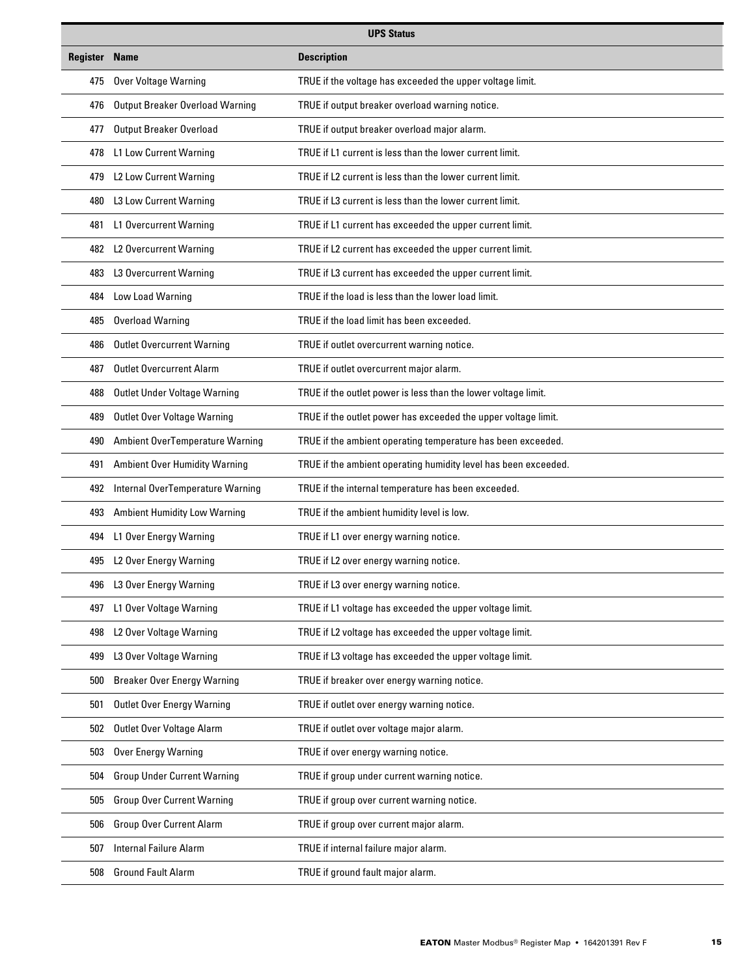| <b>UPS Status</b>    |                                        |                                                                 |  |  |  |
|----------------------|----------------------------------------|-----------------------------------------------------------------|--|--|--|
| <b>Register Name</b> | <b>Description</b>                     |                                                                 |  |  |  |
| 475                  | Over Voltage Warning                   | TRUE if the voltage has exceeded the upper voltage limit.       |  |  |  |
| 476                  | <b>Output Breaker Overload Warning</b> | TRUE if output breaker overload warning notice.                 |  |  |  |
| 477                  | <b>Output Breaker Overload</b>         | TRUE if output breaker overload major alarm.                    |  |  |  |
| 478                  | <b>L1 Low Current Warning</b>          | TRUE if L1 current is less than the lower current limit.        |  |  |  |
| 479                  | L2 Low Current Warning                 | TRUE if L2 current is less than the lower current limit.        |  |  |  |
| 480                  | L3 Low Current Warning                 | TRUE if L3 current is less than the lower current limit.        |  |  |  |
| 481                  | <b>L1 Overcurrent Warning</b>          | TRUE if L1 current has exceeded the upper current limit.        |  |  |  |
| 482                  | L2 Overcurrent Warning                 | TRUE if L2 current has exceeded the upper current limit.        |  |  |  |
| 483                  | L3 Overcurrent Warning                 | TRUE if L3 current has exceeded the upper current limit.        |  |  |  |
| 484                  | Low Load Warning                       | TRUE if the load is less than the lower load limit.             |  |  |  |
| 485                  | <b>Overload Warning</b>                | TRUE if the load limit has been exceeded.                       |  |  |  |
| 486                  | <b>Outlet Overcurrent Warning</b>      | TRUE if outlet overcurrent warning notice.                      |  |  |  |
| 487                  | <b>Outlet Overcurrent Alarm</b>        | TRUE if outlet overcurrent major alarm.                         |  |  |  |
| 488                  | Outlet Under Voltage Warning           | TRUE if the outlet power is less than the lower voltage limit.  |  |  |  |
| 489                  | Outlet Over Voltage Warning            | TRUE if the outlet power has exceeded the upper voltage limit.  |  |  |  |
| 490                  | <b>Ambient OverTemperature Warning</b> | TRUE if the ambient operating temperature has been exceeded.    |  |  |  |
| 491                  | <b>Ambient Over Humidity Warning</b>   | TRUE if the ambient operating humidity level has been exceeded. |  |  |  |
| 492                  | Internal OverTemperature Warning       | TRUE if the internal temperature has been exceeded.             |  |  |  |
| 493                  | <b>Ambient Humidity Low Warning</b>    | TRUE if the ambient humidity level is low.                      |  |  |  |
| 494                  | L1 Over Energy Warning                 | TRUE if L1 over energy warning notice.                          |  |  |  |
| 495                  | L2 Over Energy Warning                 | TRUE if L2 over energy warning notice.                          |  |  |  |
| 496                  | L3 Over Energy Warning                 | TRUE if L3 over energy warning notice.                          |  |  |  |
| 497                  | L1 Over Voltage Warning                | TRUE if L1 voltage has exceeded the upper voltage limit.        |  |  |  |
| 498                  | L2 Over Voltage Warning                | TRUE if L2 voltage has exceeded the upper voltage limit.        |  |  |  |
| 499                  | L3 Over Voltage Warning                | TRUE if L3 voltage has exceeded the upper voltage limit.        |  |  |  |
| 500                  | <b>Breaker Over Energy Warning</b>     | TRUE if breaker over energy warning notice.                     |  |  |  |
| 501                  | <b>Outlet Over Energy Warning</b>      | TRUE if outlet over energy warning notice.                      |  |  |  |
| 502                  | Outlet Over Voltage Alarm              | TRUE if outlet over voltage major alarm.                        |  |  |  |
| 503                  | <b>Over Energy Warning</b>             | TRUE if over energy warning notice.                             |  |  |  |
| 504                  | <b>Group Under Current Warning</b>     | TRUE if group under current warning notice.                     |  |  |  |
| 505                  | <b>Group Over Current Warning</b>      | TRUE if group over current warning notice.                      |  |  |  |
| 506                  | <b>Group Over Current Alarm</b>        | TRUE if group over current major alarm.                         |  |  |  |
| 507                  | <b>Internal Failure Alarm</b>          | TRUE if internal failure major alarm.                           |  |  |  |
| 508                  | <b>Ground Fault Alarm</b>              | TRUE if ground fault major alarm.                               |  |  |  |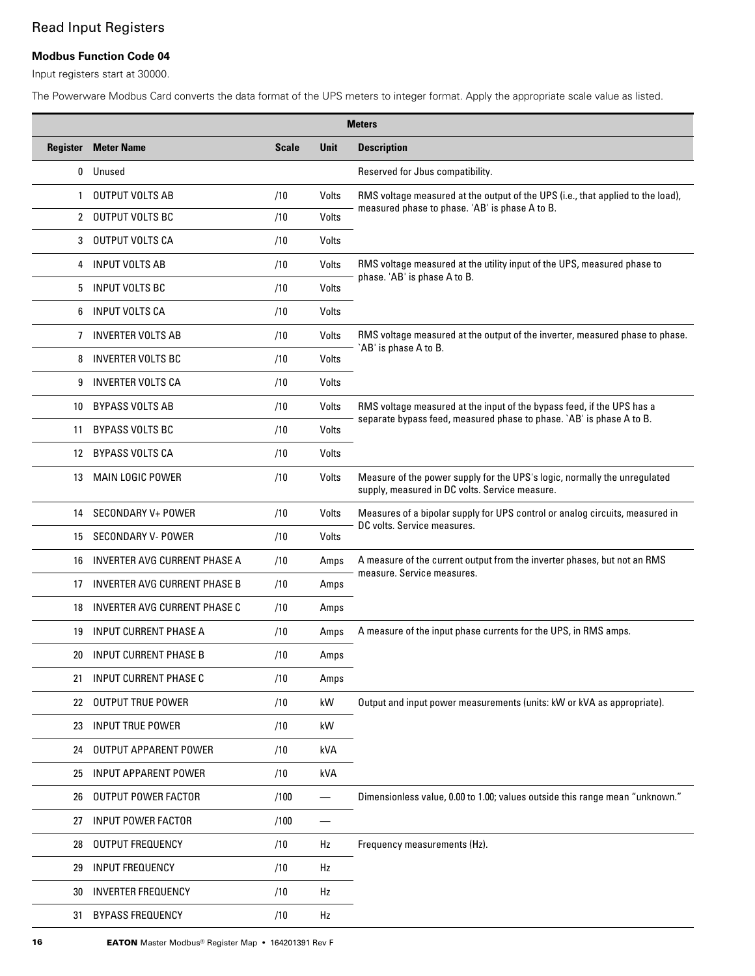# Read Input Registers

### **Modbus Function Code 04**

Input registers start at 30000.

The Powerware Modbus Card converts the data format of the UPS meters to integer format. Apply the appropriate scale value as listed.

|              | <b>Meters</b>                       |              |             |                                                                                                                             |  |
|--------------|-------------------------------------|--------------|-------------|-----------------------------------------------------------------------------------------------------------------------------|--|
| Register     | <b>Meter Name</b>                   | <b>Scale</b> | <b>Unit</b> | <b>Description</b>                                                                                                          |  |
| 0            | Unused                              |              |             | Reserved for Jbus compatibility.                                                                                            |  |
| $\mathbf{1}$ | <b>OUTPUT VOLTS AB</b>              | /10          | Volts       | RMS voltage measured at the output of the UPS (i.e., that applied to the load),                                             |  |
| 2            | <b>OUTPUT VOLTS BC</b>              | /10          | Volts       | measured phase to phase. 'AB' is phase A to B.                                                                              |  |
| 3            | <b>OUTPUT VOLTS CA</b>              | /10          | Volts       |                                                                                                                             |  |
| 4            | <b>INPUT VOLTS AB</b>               | /10          | Volts       | RMS voltage measured at the utility input of the UPS, measured phase to                                                     |  |
| 5            | <b>INPUT VOLTS BC</b>               | /10          | Volts       | phase. 'AB' is phase A to B.                                                                                                |  |
| 6            | INPUT VOLTS CA                      | /10          | Volts       |                                                                                                                             |  |
| 7            | <b>INVERTER VOLTS AB</b>            | /10          | Volts       | RMS voltage measured at the output of the inverter, measured phase to phase.                                                |  |
| 8            | <b>INVERTER VOLTS BC</b>            | /10          | Volts       | `AB' is phase A to B.                                                                                                       |  |
| 9            | <b>INVERTER VOLTS CA</b>            | /10          | Volts       |                                                                                                                             |  |
| 10           | <b>BYPASS VOLTS AB</b>              | /10          | Volts       | RMS voltage measured at the input of the bypass feed, if the UPS has a                                                      |  |
| 11           | <b>BYPASS VOLTS BC</b>              | /10          | Volts       | separate bypass feed, measured phase to phase. `AB' is phase A to B.                                                        |  |
| 12           | <b>BYPASS VOLTS CA</b>              | /10          | Volts       |                                                                                                                             |  |
| 13           | <b>MAIN LOGIC POWER</b>             | /10          | Volts       | Measure of the power supply for the UPS's logic, normally the unregulated<br>supply, measured in DC volts. Service measure. |  |
| 14           | <b>SECONDARY V+ POWER</b>           | /10          | Volts       | Measures of a bipolar supply for UPS control or analog circuits, measured in                                                |  |
| 15           | SECONDARY V- POWER                  | /10          | Volts       | DC volts. Service measures.                                                                                                 |  |
| 16           | INVERTER AVG CURRENT PHASE A        | /10          | Amps        | A measure of the current output from the inverter phases, but not an RMS                                                    |  |
| 17           | INVERTER AVG CURRENT PHASE B        | /10          | Amps        | measure. Service measures.                                                                                                  |  |
| 18           | <b>INVERTER AVG CURRENT PHASE C</b> | /10          | Amps        |                                                                                                                             |  |
| 19           | <b>INPUT CURRENT PHASE A</b>        | /10          | Amps        | A measure of the input phase currents for the UPS, in RMS amps.                                                             |  |
| 20           | <b>INPUT CURRENT PHASE B</b>        | /10          | Amps        |                                                                                                                             |  |
| 21           | <b>INPUT CURRENT PHASE C</b>        | /10          | Amps        |                                                                                                                             |  |
|              | 22 OUTPUT TRUE POWER                | /10          | kW          | Output and input power measurements (units: kW or kVA as appropriate).                                                      |  |
| 23           | <b>INPUT TRUE POWER</b>             | /10          | kW          |                                                                                                                             |  |
| 24           | <b>OUTPUT APPARENT POWER</b>        | /10          | kVA         |                                                                                                                             |  |
| 25           | <b>INPUT APPARENT POWER</b>         | /10          | kVA         |                                                                                                                             |  |
| 26           | OUTPUT POWER FACTOR                 | /100         |             | Dimensionless value, 0.00 to 1.00; values outside this range mean "unknown."                                                |  |
| 27           | <b>INPUT POWER FACTOR</b>           | /100         |             |                                                                                                                             |  |
| 28           | <b>OUTPUT FREQUENCY</b>             | /10          | Hz          | Frequency measurements (Hz).                                                                                                |  |
| 29           | <b>INPUT FREQUENCY</b>              | /10          | Hz          |                                                                                                                             |  |
| 30           | <b>INVERTER FREQUENCY</b>           | /10          | Hz          |                                                                                                                             |  |
| 31           | <b>BYPASS FREQUENCY</b>             | /10          | Hz          |                                                                                                                             |  |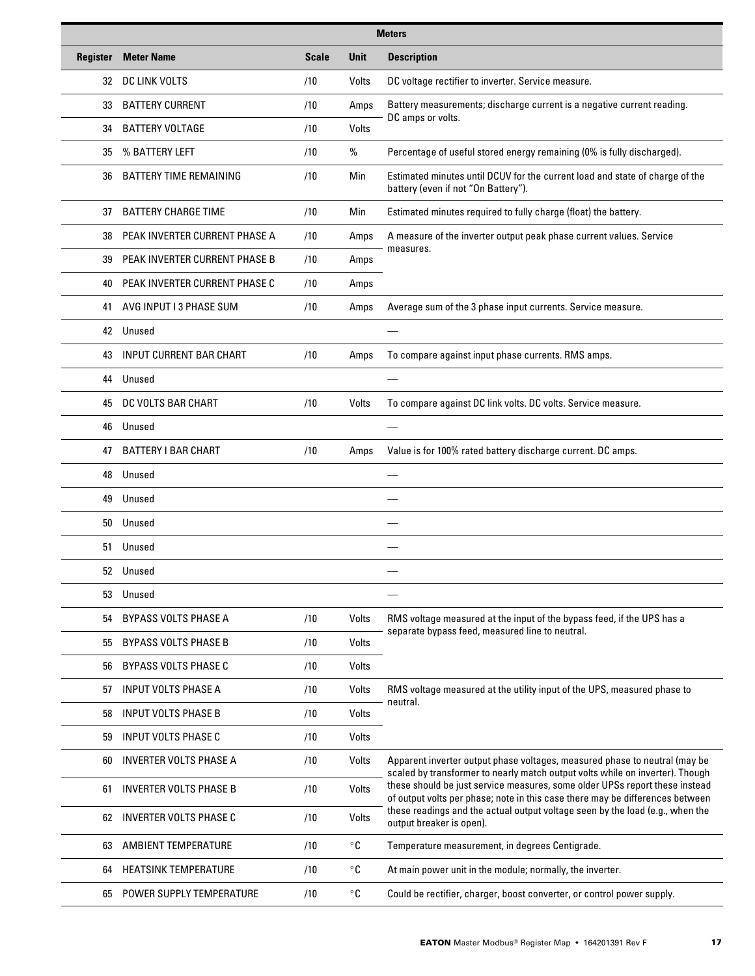| <b>Meters</b> |                                |              |                       |                                                                                                                                                              |
|---------------|--------------------------------|--------------|-----------------------|--------------------------------------------------------------------------------------------------------------------------------------------------------------|
| Register      | <b>Meter Name</b>              | <b>Scale</b> | <b>Unit</b>           | <b>Description</b>                                                                                                                                           |
| 32            | DC LINK VOLTS                  | /10          | Volts                 | DC voltage rectifier to inverter. Service measure.                                                                                                           |
| 33            | <b>BATTERY CURRENT</b>         | /10          | Amps                  | Battery measurements; discharge current is a negative current reading.                                                                                       |
| 34            | <b>BATTERY VOLTAGE</b>         | /10          | Volts                 | DC amps or volts.                                                                                                                                            |
| 35            | % BATTERY LEFT                 | /10          | %                     | Percentage of useful stored energy remaining (0% is fully discharged).                                                                                       |
| 36            | <b>BATTERY TIME REMAINING</b>  | /10          | Min                   | Estimated minutes until DCUV for the current load and state of charge of the<br>battery (even if not "On Battery").                                          |
| 37            | <b>BATTERY CHARGE TIME</b>     | /10          | Min                   | Estimated minutes required to fully charge (float) the battery.                                                                                              |
| 38            | PEAK INVERTER CURRENT PHASE A  | /10          | Amps                  | A measure of the inverter output peak phase current values. Service                                                                                          |
| 39            | PEAK INVERTER CURRENT PHASE B  | /10          | Amps                  | measures.                                                                                                                                                    |
| 40            | PEAK INVERTER CURRENT PHASE C  | /10          | Amps                  |                                                                                                                                                              |
| 41            | AVG INPUT I 3 PHASE SUM        | /10          | Amps                  | Average sum of the 3 phase input currents. Service measure.                                                                                                  |
| 42            | Unused                         |              |                       |                                                                                                                                                              |
| 43            | <b>INPUT CURRENT BAR CHART</b> | /10          | Amps                  | To compare against input phase currents. RMS amps.                                                                                                           |
| 44            | Unused                         |              |                       |                                                                                                                                                              |
| 45            | DC VOLTS BAR CHART             | /10          | Volts                 | To compare against DC link volts. DC volts. Service measure.                                                                                                 |
| 46            | Unused                         |              |                       |                                                                                                                                                              |
| 47            | <b>BATTERY I BAR CHART</b>     | /10          | Amps                  | Value is for 100% rated battery discharge current. DC amps.                                                                                                  |
| 48            | Unused                         |              |                       |                                                                                                                                                              |
| 49            | Unused                         |              |                       |                                                                                                                                                              |
| 50            | Unused                         |              |                       |                                                                                                                                                              |
| 51            | Unused                         |              |                       |                                                                                                                                                              |
| 52            | Unused                         |              |                       |                                                                                                                                                              |
| 53            | Unused                         |              |                       |                                                                                                                                                              |
| 54            | <b>BYPASS VOLTS PHASE A</b>    | /10          | Volts                 | RMS voltage measured at the input of the bypass feed, if the UPS has a                                                                                       |
| 55            | <b>BYPASS VOLTS PHASE B</b>    | /10          | Volts                 | separate bypass feed, measured line to neutral.                                                                                                              |
| 56            | <b>BYPASS VOLTS PHASE C</b>    | /10          | Volts                 |                                                                                                                                                              |
| 57            | <b>INPUT VOLTS PHASE A</b>     | /10          | Volts                 | RMS voltage measured at the utility input of the UPS, measured phase to                                                                                      |
| 58            | <b>INPUT VOLTS PHASE B</b>     | /10          | Volts                 | neutral.                                                                                                                                                     |
| 59            | <b>INPUT VOLTS PHASE C</b>     | /10          | Volts                 |                                                                                                                                                              |
| 60            | <b>INVERTER VOLTS PHASE A</b>  | /10          | Volts                 | Apparent inverter output phase voltages, measured phase to neutral (may be<br>scaled by transformer to nearly match output volts while on inverter). Though  |
| 61            | INVERTER VOLTS PHASE B         | /10          | Volts                 | these should be just service measures, some older UPSs report these instead<br>of output volts per phase; note in this case there may be differences between |
| 62            | <b>INVERTER VOLTS PHASE C</b>  | /10          | Volts                 | these readings and the actual output voltage seen by the load (e.g., when the<br>output breaker is open).                                                    |
| 63            | <b>AMBIENT TEMPERATURE</b>     | /10          | $^{\circ} \texttt{C}$ | Temperature measurement, in degrees Centigrade.                                                                                                              |
| 64            | <b>HEATSINK TEMPERATURE</b>    | /10          | $^{\circ}$ C          | At main power unit in the module; normally, the inverter.                                                                                                    |
| 65            | POWER SUPPLY TEMPERATURE       | /10          | $^{\circ}{\tt C}$     | Could be rectifier, charger, boost converter, or control power supply.                                                                                       |